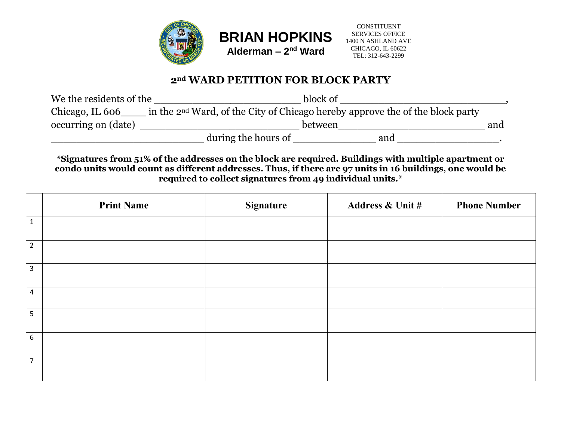



## CONSTITUENT SERVICES OFFICE 1400 N ASHLAND AVE CHICAGO, IL 60622 TEL: 312-643-2299

## **2nd WARD PETITION FOR BLOCK PARTY**

| We the residents of the |                                                                                           | block of |     |
|-------------------------|-------------------------------------------------------------------------------------------|----------|-----|
| Chicago, IL 606         | in the 2 <sup>nd</sup> Ward, of the City of Chicago hereby approve the of the block party |          |     |
| occurring on (date)     |                                                                                           | between  | and |
|                         | during the hours of                                                                       | and      |     |

**\*Signatures from 51% of the addresses on the block are required. Buildings with multiple apartment or condo units would count as different addresses. Thus, if there are 97 units in 16 buildings, one would be required to collect signatures from 49 individual units.\***

|                  | <b>Print Name</b> | <b>Signature</b> | <b>Address &amp; Unit #</b> | <b>Phone Number</b> |
|------------------|-------------------|------------------|-----------------------------|---------------------|
| $1\,$            |                   |                  |                             |                     |
| $\overline{2}$   |                   |                  |                             |                     |
| $\overline{3}$   |                   |                  |                             |                     |
| $\overline{a}$   |                   |                  |                             |                     |
| 5                |                   |                  |                             |                     |
| $\boldsymbol{6}$ |                   |                  |                             |                     |
| $\overline{7}$   |                   |                  |                             |                     |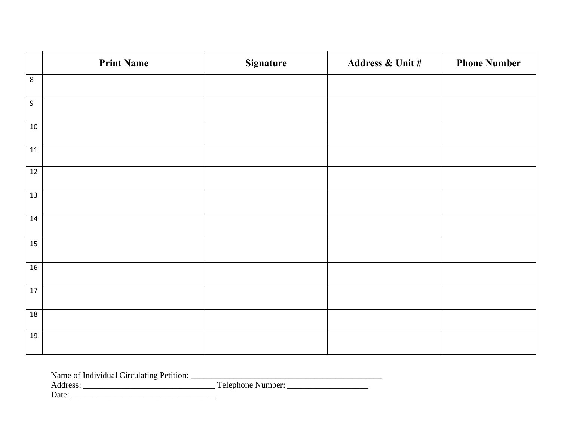|                 | <b>Print Name</b> | <b>Signature</b> | Address & Unit # | <b>Phone Number</b> |
|-----------------|-------------------|------------------|------------------|---------------------|
| $\,8\,$         |                   |                  |                  |                     |
| $9\,$           |                   |                  |                  |                     |
| $10\,$          |                   |                  |                  |                     |
| 11              |                   |                  |                  |                     |
| 12              |                   |                  |                  |                     |
| 13              |                   |                  |                  |                     |
| 14              |                   |                  |                  |                     |
| 15              |                   |                  |                  |                     |
| 16              |                   |                  |                  |                     |
| $\overline{17}$ |                   |                  |                  |                     |
| 18              |                   |                  |                  |                     |
| 19              |                   |                  |                  |                     |

Address: \_\_\_\_\_\_\_\_\_\_\_\_\_\_\_\_\_\_\_\_\_\_\_\_\_\_\_\_\_\_\_ Telephone Number: \_\_\_\_\_\_\_\_\_\_\_\_\_\_\_\_\_\_\_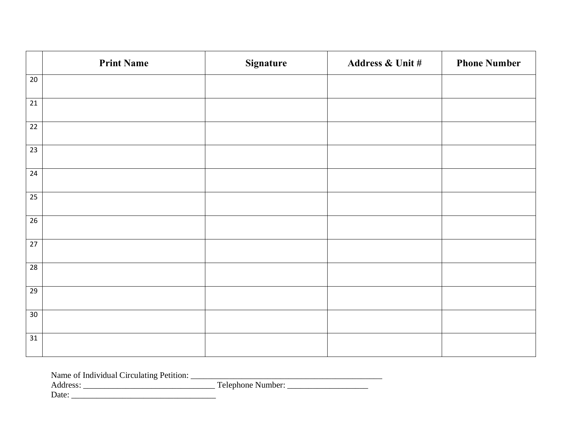|                 | <b>Print Name</b> | Signature | Address & Unit # | <b>Phone Number</b> |
|-----------------|-------------------|-----------|------------------|---------------------|
| 20              |                   |           |                  |                     |
| 21              |                   |           |                  |                     |
| 22              |                   |           |                  |                     |
| 23              |                   |           |                  |                     |
| 24              |                   |           |                  |                     |
| 25              |                   |           |                  |                     |
| 26              |                   |           |                  |                     |
| $\overline{27}$ |                   |           |                  |                     |
| 28              |                   |           |                  |                     |
| $\overline{29}$ |                   |           |                  |                     |
| 30 <sup>°</sup> |                   |           |                  |                     |
| 31              |                   |           |                  |                     |

Address: \_\_\_\_\_\_\_\_\_\_\_\_\_\_\_\_\_\_\_\_\_\_\_\_\_\_\_\_\_\_\_ Telephone Number: \_\_\_\_\_\_\_\_\_\_\_\_\_\_\_\_\_\_\_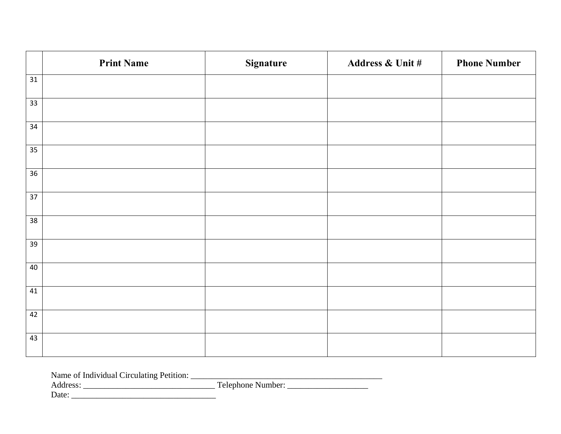|                 | <b>Print Name</b> | <b>Signature</b> | Address & Unit # | <b>Phone Number</b> |
|-----------------|-------------------|------------------|------------------|---------------------|
| 31              |                   |                  |                  |                     |
| 33 <sup>2</sup> |                   |                  |                  |                     |
| 34              |                   |                  |                  |                     |
| 35              |                   |                  |                  |                     |
| 36              |                   |                  |                  |                     |
| $\overline{37}$ |                   |                  |                  |                     |
| 38              |                   |                  |                  |                     |
| 39              |                   |                  |                  |                     |
| 40              |                   |                  |                  |                     |
| 41              |                   |                  |                  |                     |
| 42              |                   |                  |                  |                     |
| 43              |                   |                  |                  |                     |

Address: \_\_\_\_\_\_\_\_\_\_\_\_\_\_\_\_\_\_\_\_\_\_\_\_\_\_\_\_\_\_\_ Telephone Number: \_\_\_\_\_\_\_\_\_\_\_\_\_\_\_\_\_\_\_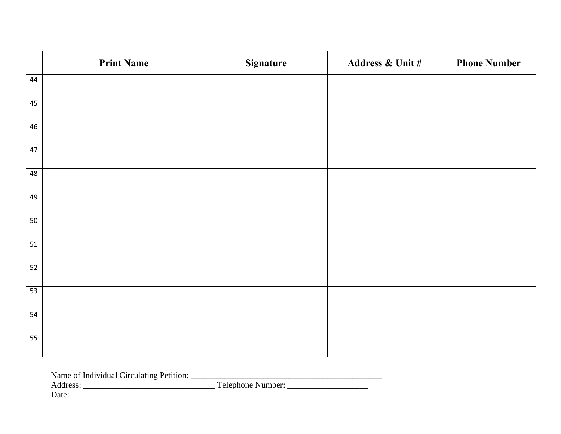|                 | <b>Print Name</b> | Signature | Address & Unit # | <b>Phone Number</b> |
|-----------------|-------------------|-----------|------------------|---------------------|
| 44              |                   |           |                  |                     |
| 45              |                   |           |                  |                     |
| 46              |                   |           |                  |                     |
| 47              |                   |           |                  |                     |
| 48              |                   |           |                  |                     |
| 49              |                   |           |                  |                     |
| 50              |                   |           |                  |                     |
| $\overline{51}$ |                   |           |                  |                     |
| 52              |                   |           |                  |                     |
| 53              |                   |           |                  |                     |
| 54              |                   |           |                  |                     |
| 55              |                   |           |                  |                     |

Address: \_\_\_\_\_\_\_\_\_\_\_\_\_\_\_\_\_\_\_\_\_\_\_\_\_\_\_\_\_\_\_ Telephone Number: \_\_\_\_\_\_\_\_\_\_\_\_\_\_\_\_\_\_\_